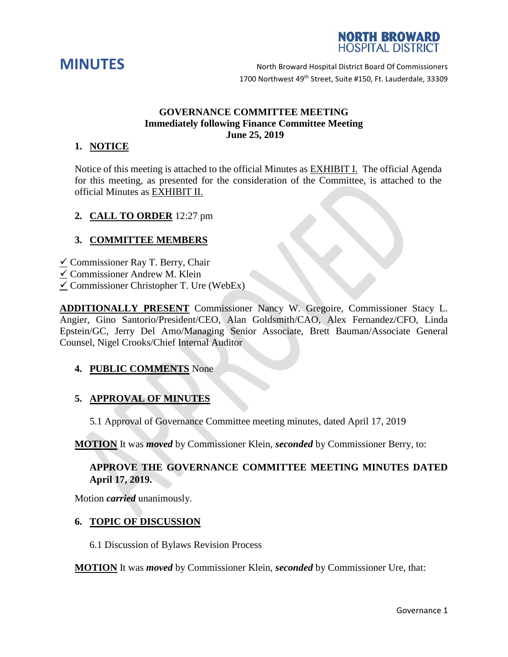



**MINUTES** North Broward Hospital District Board Of Commissioners 1700 Northwest 49<sup>th</sup> Street, Suite #150, Ft. Lauderdale, 33309

## **GOVERNANCE COMMITTEE MEETING Immediately following Finance Committee Meeting June 25, 2019**

## **1. NOTICE**

Notice of this meeting is attached to the official Minutes as EXHIBIT I. The official Agenda for this meeting, as presented for the consideration of the Committee, is attached to the official Minutes as EXHIBIT II.

## **2. CALL TO ORDER** 12:27 pm

## **3. COMMITTEE MEMBERS**

- $\checkmark$  Commissioner Ray T. Berry, Chair
- Commissioner Andrew M. Klein
- $\checkmark$  Commissioner Christopher T. Ure (WebEx)

**ADDITIONALLY PRESENT** Commissioner Nancy W. Gregoire, Commissioner Stacy L. Angier, Gino Santorio/President/CEO, Alan Goldsmith/CAO, Alex Fernandez/CFO, Linda Epstein/GC, Jerry Del Amo/Managing Senior Associate, Brett Bauman/Associate General Counsel, Nigel Crooks/Chief Internal Auditor

### **4. PUBLIC COMMENTS** None

### **5. APPROVAL OF MINUTES**

5.1 Approval of Governance Committee meeting minutes, dated April 17, 2019

**MOTION** It was *moved* by Commissioner Klein, *seconded* by Commissioner Berry, to:

## **APPROVE THE GOVERNANCE COMMITTEE MEETING MINUTES DATED April 17, 2019.**

Motion *carried* unanimously.

#### **6. TOPIC OF DISCUSSION**

6.1 Discussion of Bylaws Revision Process

**MOTION** It was *moved* by Commissioner Klein, *seconded* by Commissioner Ure, that: